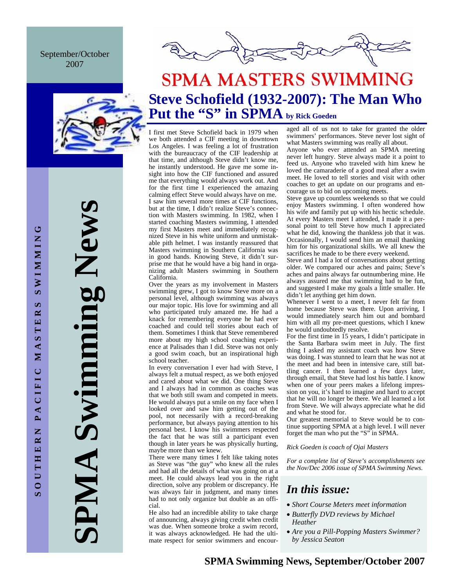September/October 2007



**SPMA Swimming News**  Swimming New AIMP

# **SPMA MASTERS SWIMMING Steve Schofield (1932-2007): The Man Who**

# Put the "S" in SPMA by Rick Goeden

I first met Steve Schofield back in 1979 when we both attended a CIF meeting in downtown Los Angeles. I was feeling a lot of frustration with the bureaucracy of the CIF leadership at that time, and although Steve didn't know me, he instantly understood. He gave me some insight into how the CIF functioned and assured me that everything would always work out. And for the first time I experienced the amazing calming effect Steve would always have on me. I saw him several more times at CIF functions, but at the time, I didn't realize Steve's connection with Masters swimming. In 1982, when I started coaching Masters swimming, I attended my first Masters meet and immediately recognized Steve in his white uniform and unmistakable pith helmet. I was instantly reassured that Masters swimming in Southern California was in good hands. Knowing Steve, it didn't surprise me that he would have a big hand in organizing adult Masters swimming in Southern California.

Over the years as my involvement in Masters swimming grew, I got to know Steve more on a personal level, although swimming was always our major topic. His love for swimming and all who participated truly amazed me. He had a knack for remembering everyone he had ever coached and could tell stories about each of them. Sometimes I think that Steve remembered more about my high school coaching experience at Palisades than I did. Steve was not only a good swim coach, but an inspirational high school teacher.

In every conversation I ever had with Steve, I always felt a mutual respect, as we both enjoyed and cared about what we did. One thing Steve and I always had in common as coaches was that we both still swam and competed in meets. He would always put a smile on my face when I looked over and saw him getting out of the pool, not necessarily with a record-breaking performance, but always paying attention to his personal best. I know his swimmers respected the fact that he was still a participant even though in later years he was physically hurting, maybe more than we knew.

There were many times I felt like taking notes as Steve was "the guy" who knew all the rules and had all the details of what was going on at a meet. He could always lead you in the right direction, solve any problem or discrepancy. He was always fair in judgment, and many times had to not only organize but double as an official.

He also had an incredible ability to take charge of announcing, always giving credit when credit was due. When someone broke a swim record, it was always acknowledged. He had the ultimate respect for senior swimmers and encouraged all of us not to take for granted the older swimmers' performances. Steve never lost sight of what Masters swimming was really all about.

Anyone who ever attended an SPMA meeting never left hungry. Steve always made it a point to feed us. Anyone who traveled with him knew he loved the camaraderie of a good meal after a swim meet. He loved to tell stories and visit with other coaches to get an update on our programs and encourage us to bid on upcoming meets.

Steve gave up countless weekends so that we could enjoy Masters swimming. I often wondered how his wife and family put up with his hectic schedule. At every Masters meet I attended, I made it a personal point to tell Steve how much I appreciated what he did, knowing the thankless job that it was. Occasionally, I would send him an email thanking him for his organizational skills. We all knew the sacrifices he made to be there every weekend.

Steve and I had a lot of conversations about getting older. We compared our aches and pains; Steve's aches and pains always far outnumbering mine. He always assured me that swimming had to be fun, and suggested I make my goals a little smaller. He didn't let anything get him down.

Whenever I went to a meet, I never felt far from home because Steve was there. Upon arriving, I would immediately search him out and bombard him with all my pre-meet questions, which I knew he would undoubtedly resolve.

For the first time in 15 years, I didn't participate in the Santa Barbara swim meet in July. The first thing I asked my assistant coach was how Steve was doing. I was stunned to learn that he was not at the meet and had been in intensive care, still battling cancer. I then learned a few days later, through email, that Steve had lost his battle. I know when one of your peers makes a lifelong impression on you, it's hard to imagine and hard to accept that he will no longer be there. We all learned a lot from Steve. We will always appreciate what he did and what he stood for.

Our greatest memorial to Steve would be to continue supporting SPMA at a high level. I will never forget the man who put the "S" in SPMA.

*Rick Goeden is coach of Ojai Masters* 

*For a complete list of Steve's accomplishments see the Nov/Dec 2006 issue of SPMA Swimming News.* 

## *In this issue:*

- *Short Course Meters meet information*
- *Butterfly DVD reviews by Michael Heather*
- *Are you a Pill-Popping Masters Swimmer? by Jessica Seaton*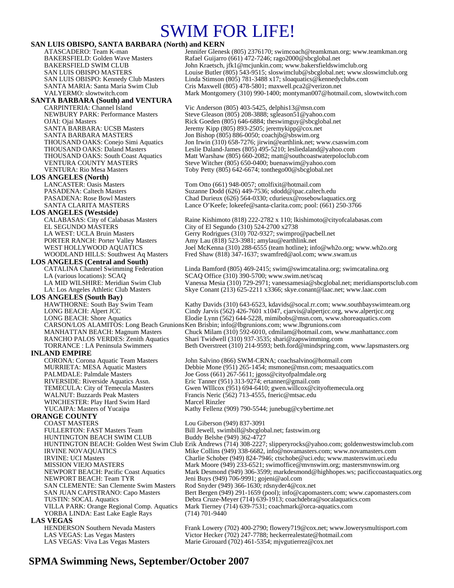# SWIM FOR LIFE!

#### **SAN LUIS OBISPO, SANTA BARBARA (North) and KERN**

# **SANTA BARBARA (South) and VENTURA**

**LOS ANGELES (North)** 

**LOS ANGELES (Westside)** EL SEGUNDO MASTERS City of El Segundo (310) 524-2700 x2738

# **LOS ANGELES (Central and South)**<br>CATALINA Channel Swimming Federation

**LOS ANGELES (South Bay)**  CARSON/LOS ALAMITOS: Long Beach Grunions Ken Brisbin; info@lbgrunions.com; www.lbgrunions.com

**INLAND EMPIRE**<br>CORONA: Corona Aquatic Team Masters WINCHESTER: Play Hard Swim Hard Marcel Rinzler YUCAIPA: Masters of Yucaipa Kathy Fellenz (909) 790-5544; junebug@cybertime.net

# **ORANGE COUNTY**

FULLERTON: FAST Masters Team Bill Jewell, swimbill@sbcglobal.net; fastswim.org<br>HUNTINGTON BEACH SWIM CLUB Buddy Belshe (949) 362-4727 HUNTINGTON BEACH SWIM CLUB NEWPORT BEACH: Team TYR Jeni Buys (949) 706-9991; gojeni@aol.com<br>SAN CLEMENTE: San Clemente Swim Masters Rod Snyder (949) 366-1630; rdsnyder4@co: YORBA LINDA: East Lake Eagle Rays (714) 701-9440 **LAS VEGAS**<br> **HENDERSON Southern Nevada Masters** 

ATASCADERO: Team K-man Jennifer Glenesk (805) 2376170; swimcoach@teamkman.org; www.teamkman.org BAKERSFIELD: Golden Wave Masters Rafael Guijarro (661) 472-7246; rago2000@sbcglobal.net<br>BAKERSFIELD SWIM CLUB John Kraetsch, jfk1@mcjunkin.com; www.bakersfieldswir John Kraetsch, jfk1@mcjunkin.com; www.bakersfieldswimclub.org SAN LUIS OBISPO MASTERS Louise Butler (805) 543-9515; sloswimclub@sbcglobal.net; www.sloswimclub.org SAN LUIS OBISPO: Kennedy Club Masters Linda Stimson (805) 781-3488 x17; sloaquatics@kennedyclubs.com SANTA MARIA: Santa Maria Swim Club Cris Maxwell (805) 478-5801; maxwell.pca2@verizon.net VALYERMO: slowtwitch.com Mark Montgomery (310) 990-1400; montyman007@hotmail.com, slowtwitch.com

Vic Anderson (805) 403-5425, delphis13@msn.com NEWBURY PARK: Performance Masters Steve Gleason (805) 208-3888; sgleason51@yahoo.com<br>OJAI: Ojai Masters Rick Goeden (805) 646-6884; theswimguy@sbcglobal.ne Rick Goeden (805) 646-6884; theswimguy@sbcglobal.net SANTA BARBARA: UCSB Masters Jeremy Kipp (805) 893-2505; jeremykipp@cox.net<br>SANTA BARBARA MASTERS Jon Bishop (805) 886-0050; coachib@sbswim.org Jon Bishop (805) 886-0050; coachjb@sbswim.org THOUSAND OAKS: Conejo Simi Aquatics Jon Irwin (310) 658-7276; jirwin@earthlink.net; www.csaswim.com THOUSAND OAKS: Daland Masters Leslie Daland-James (805) 495-5210; lesliedaland@yahoo.com<br>THOUSAND OAKS: South Coast Aquatics Matt Warshaw (805) 660-2082; matt@southcoastwaterpoloclub THOUSAND OAKS: South Coast Aquatics Matt Warshaw (805) 660-2082; matt@southcoastwaterpoloclub.com<br>VENTURA COUNTY MASTERS Steve Witcher (805) 650-0400; buenaswim@yahoo.com Steve Witcher (805) 650-0400; buenaswim@yahoo.com VENTURA: Rio Mesa Masters Toby Petty (805) 642-6674; tonthego00@sbcglobal.net

Tom Otto (661) 948-0057; ottolfixit@hotmail.com PASADENA: Caltech Masters Suzanne Dodd (626) 449-7536; sdodd@ipac.caltech.edu<br>PASADENA: Rose Bowl Masters Chad Durieux (626) 564-0330: cdurieux @rosebowlaquat Chad Durieux (626) 564-0330; cdurieux @rosebowlaquatics.org SANTA CLARITA MASTERS Lance O'Keefe; lokeefe@santa-clarita.com; pool: (661) 250-3766

Raine Kishimoto (818) 222-2782 x 110; lkishimoto@cityofcalabasas.com LA WEST: UCLA Bruin Masters Gerry Rodrigues (310) 702-9327; swimpro@pacbell.net PORTER RANCH: Porter Valley Masters Amy Lau (818) 523-3981; amylau@earthlink.net<br>WEST HOLLYWOOD AQUATICS Joel McKenna (310) 288-6555 (team hotline); inf Joel McKenna (310) 288-6555 (team hotline); info@wh2o.org; www.wh2o.org WOODLAND HILLS: Southwest Aq Masters Fred Shaw (818) 347-1637; swamfred@aol.com; www.swam.us

Linda Bamford (805) 469-2415; swim@swimcatalina.org; swimcatalina.org LA (various locations): SCAQ SCAQ Office (310) 390-5700; www.swim.net/scaq<br>LA MID WILSHIRE: Meridian Swim Club Vanessa Mesia (310) 729-2971; vanessamesia@sbc LA MID WILSHIRE: Meridian Swim Club Vanessa Mesia (310) 729-2971; vanessamesia@sbcglobal.net; meridiansportsclub.com<br>LA: Los Angeles Athletic Club Masters Skye Conant (213) 625-2211 x3366; skye.conant@laac.net; www.laac.co Skye Conant (213) 625-2211 x3366; skye.conant@laac.net; www.laac.com

Kathy Davids (310) 643-6523, kdavids@socal.rr.com; www.southbayswimteam.org LONG BEACH: Alpert JCC Cindy Jarvis (562) 426-7601 x1047, cjarvis@alpertjcc.org, www.alpertjcc.org LONG BEACH: Shore Aquatics Elodie Lynn (562) 644-5228, mimibobs@msn.com, www.shoreaquatics.com

MANHATTAN BEACH: Magnum Masters Chuck Milam (310) 592-6010, cdmilam@hotmail.com, www.manhattancc.com<br>RANCHO PALOS VERDES: Zenith Aquatics Shari Twidwell (310) 937-3535; shari@zapswimming.com Shari Twidwell (310) 937-3535; shari@zapswimming.com TORRANCE : LA Peninsula Swimmers Beth Overstreet (310) 214-9593; beth.ford@mindspring.com, www.lapsmasters.org

John Salvino (866) SWM-CRNA; coachsalvino@hotmail.com MURRIETA: MESA Aquatic Masters Debbie Mone (951) 265-1454; msmone@msn.com; mesaaquatics.com<br>PALMDALE: Palmdale Masters Joe Goss (661) 267-5611; jgoss @cityofpalmdale.org Joe Goss (661) 267-5611; jgoss@cityofpalmdale.org RIVERSIDE: Riverside Aquatics Assn.<br>TEMECULA: City of Temecula Masters Gwen WIllcox (951) 694-6410; gwen.willcox@cit TEMECULA: City of Temecula Masters Gwen WIllcox (951) 694-6410; gwen.willcox @cityoftemecula.org<br>WALNUT: Buzzards Peak Masters Francis Neric (562) 713-4555, fneric@mtsac.edu Francis Neric (562) 713-4555, fneric@mtsac.edu

# Lou Giberson (949) 837-3091 HUNTINGTON BEACH: Golden West Swim Club Erik Andrews (714) 308-2227; slipperyrocks@yahoo.com; goldenwestswimclub.com<br>IRVINE NOVAQUATICS Mike Collins (949) 338-6682, info@novamasters.com; www.novamasters.com

Mike Collins (949) 338-6682, info@novamasters.com; www.novamasters.com IRVINE: UCI Masters Charlie Schober (949) 824-7946; ctschobe@uci.edu; www.masterswim.uci.edu<br>MISSION VIEJO MASTERS Mark Moore (949) 233-6521; swimoffice@mvnswim.org; mastersmvnswim.org Mark Moore (949) 233-6521; swimoffice@mvnswim.org; mastersmvnswim.org NEWPORT BEACH: Pacific Coast Aquatics Mark Desmond (949) 306-3599; markdesmond@highhopes.ws; pacificcoastaquatics.org Rod Snyder (949) 366-1630; rdsnyder4@cox.net SAN JUAN CAPISTRANO: Capo Masters Bert Bergen (949) 291-1659 (pool); info@capomasters.com; www.capomasters.com TUSTIN: SOCAL Aquatics Debra Cruze-Meyer (714) 639-1913; coachdebra@socalaquatics.com Mark Tierney (714) 639-7531; coachmark@orca-aquatics.com

Frank Lowery (702) 400-2790; flowery719@cox.net; www.lowerysmultisport.com LAS VEGAS: Las Vegas Masters Victor Hecker (702) 247-7788; heckerrealestate@hotmail.com LAS VEGAS: Viva Las Vegas Masters Marie Girouard (702) 461-5354; mjvgutierrez@cox.net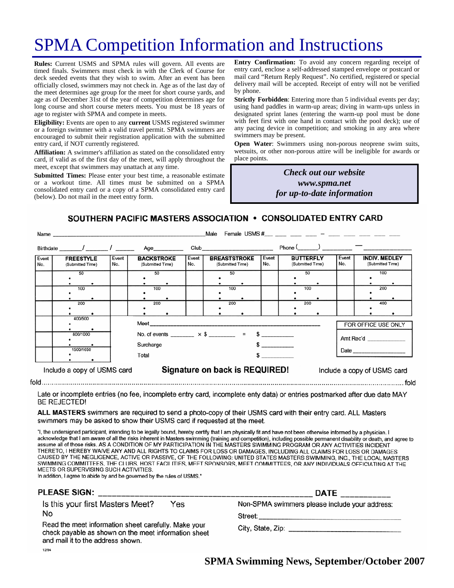# SPMA Competition Information and Instructions

**Rules:** Current USMS and SPMA rules will govern. All events are timed finals. Swimmers must check in with the Clerk of Course for deck seeded events that they wish to swim. After an event has been officially closed, swimmers may not check in. Age as of the last day of the meet determines age group for the meet for short course yards, and age as of December 31st of the year of competition determines age for long course and short course meters meets. You must be 18 years of age to register with SPMA and compete in meets.

**Eligibility:** Events are open to any **current** USMS registered swimmer or a foreign swimmer with a valid travel permit. SPMA swimmers are encouraged to submit their registration application with the submitted entry card, if NOT currently registered.

**Affiliation:** A swimmer's affiliation as stated on the consolidated entry card, if valid as of the first day of the meet, will apply throughout the meet, except that swimmers may unattach at any time.

**Submitted Times:** Please enter your best time, a reasonable estimate or a workout time. All times must be submitted on a SPMA consolidated entry card or a copy of a SPMA consolidated entry card (below). Do not mail in the meet entry form.

**Entry Confirmation:** To avoid any concern regarding receipt of entry card, enclose a self-addressed stamped envelope or postcard or mail card "Return Reply Request". No certified, registered or special delivery mail will be accepted. Receipt of entry will not be verified by phone.

**Strictly Forbidden**: Entering more than 5 individual events per day; using hand paddles in warm-up areas; diving in warm-ups unless in designated sprint lanes (entering the warm-up pool must be done with feet first with one hand in contact with the pool deck); use of any pacing device in competition; and smoking in any area where swimmers may be present.

**Open Water**: Swimmers using non-porous neoprene swim suits, wetsuits, or other non-porous attire will be ineligible for awards or place points.

> *Check out our website www.spma.net for up-to-date information*

> > $\sim$  fold

SOUTHERN PACIFIC MASTERS ASSOCIATION . CONSOLIDATED ENTRY CARD

| Name         |                                                                                               |                                                               |                  |                                                                       |  | Male           |                                      |  |                   |                                          |  |                                  |                   |  |
|--------------|-----------------------------------------------------------------------------------------------|---------------------------------------------------------------|------------------|-----------------------------------------------------------------------|--|----------------|--------------------------------------|--|-------------------|------------------------------------------|--|----------------------------------|-------------------|--|
|              | Birthdate / 1 Age                                                                             |                                                               |                  |                                                                       |  |                | Club ____________________________    |  | $Phone ($ $)$ $-$ |                                          |  |                                  |                   |  |
| Event<br>No. | <b>BACKSTROKE</b><br><b>FREESTYLE</b><br>Event<br>No.<br>(Submitted Time)<br>(Submitted Time) |                                                               |                  | <b>BREASTSTROKE</b><br>Event<br>No.<br>(Submitted Time)               |  | Event<br>l No. | <b>BUTTERFLY</b><br>(Submitted Time) |  | Event<br>No.      | <b>INDIV. MEDLEY</b><br>(Submitted Time) |  |                                  |                   |  |
|              | 50<br>100<br>200                                                                              |                                                               | 50<br>100<br>200 |                                                                       |  |                | 50<br>100<br>200                     |  |                   | 50<br>100<br>200                         |  |                                  | 100<br>200<br>400 |  |
|              | 400/500<br>800/1000<br>1500/1650                                                              |                                                               |                  | No. of events $\times$ \$ = \$<br>Surcharge<br>$\sim$ $\sim$<br>Total |  |                |                                      |  |                   |                                          |  | FOR OFFICE USE ONLY<br>Amt Rec'd |                   |  |
|              | Include a copy of USMS card                                                                   | Signature on back is REQUIRED!<br>Include a copy of USMS card |                  |                                                                       |  |                |                                      |  |                   |                                          |  |                                  |                   |  |

Late or incomplete entries (no fee, incomplete entry card, incomplete enty data) or entries postmarked after due date MAY **BE REJECTED!** 

ALL MASTERS swimmers are required to send a photo-copy of their USMS card with their entry card. ALL Masters swimmers may be asked to show their USMS card if requested at the meet.

"I, the undersigned participant, intending to be legally bound, hereby certify that I am physically fit and have not been otherwise informed by a physician. I acknowledge that I am aware of all the risks inherent in Masters swimming (training and competition), including possible permanent disability or death, and agree to assume all of those risks. AS A CONDITION OF MY PARTICIPATION IN THE MASTERS SWIMMING PROGRAM OR ANY ACTIVITIES INCIDENT THERETO, I HEREBY WAIVE ANY AND ALL RIGHTS TO CLAIMS FOR LOSS OR DAMAGES, INCLUDING ALL CLAIMS FOR LOSS OR DAMAGES CAUSED BY THE NEGLIGENCE, ACTIVE OR PASSIVE, OF THE FOLLOWING: UNITED STATES MASTERS SWIMMING, INC., THE LOCAL MASTERS SWIMMING COMMITTEES, THE CLUBS, HOST FACILITIES, MEET SPONSORS, MEET COMMITTEES, OR ANY INDIVIDUALS OFFICIATING AT THE MEETS OR SUPERVISING SUCH ACTIVITIES.

In addition, I agree to abide by and be governed by the rules of USMS."

| <b>PLEASE SIGN:</b>                                                                                                                                                                                         | <b>DATE</b>                                               |
|-------------------------------------------------------------------------------------------------------------------------------------------------------------------------------------------------------------|-----------------------------------------------------------|
| Is this your first Masters Meet?<br>Yes<br>No<br>Read the meet information sheet carefully. Make your<br>check payable as shown on the meet information sheet<br>and mail it to the address shown.<br>12/94 | Non-SPMA swimmers please include your address:<br>Street: |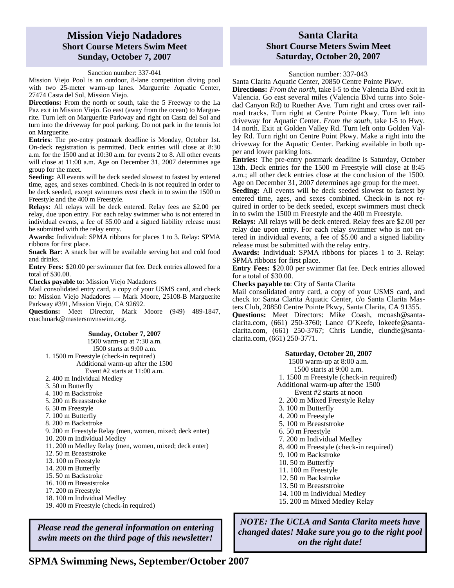### **Mission Viejo Nadadores Short Course Meters Swim Meet Sunday, October 7, 2007**

### Sanction number: 337-041

Mission Viejo Pool is an outdoor, 8-lane competition diving pool with two 25-meter warm-up lanes. Marguerite Aquatic Center, 27474 Casta del Sol, Mission Viejo.

**Directions:** From the north or south, take the 5 Freeway to the La Paz exit in Mission Viejo. Go east (away from the ocean) to Marguerite. Turn left on Marguerite Parkway and right on Casta del Sol and turn into the driveway for pool parking. Do not park in the tennis lot on Marguerite.

**Entries**: The pre-entry postmark deadline is Monday, October 1st. On-deck registration is permitted. Deck entries will close at 8:30 a.m. for the 1500 and at 10:30 a.m. for events 2 to 8. All other events will close at 11:00 a.m. Age on December 31, 2007 determines age group for the meet.

**Seeding:** All events will be deck seeded slowest to fastest by entered time, ages, and sexes combined. Check-in is not required in order to be deck seeded, except swimmers *must* check in to swim the 1500 m Freestyle and the 400 m Freestyle.

**Relays:** All relays will be deck entered. Relay fees are \$2.00 per relay, due upon entry. For each relay swimmer who is not entered in individual events, a fee of \$5.00 and a signed liability release must be submitted with the relay entry.

**Awards:** Individual: SPMA ribbons for places 1 to 3. Relay: SPMA ribbons for first place.

**Snack Bar**: A snack bar will be available serving hot and cold food and drinks.

**Entry Fees:** \$20.00 per swimmer flat fee. Deck entries allowed for a total of \$30.00.

**Checks payable to**: Mission Viejo Nadadores

Mail consolidated entry card, a copy of your USMS card, and check to: Mission Viejo Nadadores — Mark Moore, 25108-B Marguerite Parkway #391, Mission Viejo, CA 92692.

**Questions:** Meet Director, Mark Moore (949) 489-1847, coachmark@mastersmvnswim.org.

#### **Sunday, October 7, 2007**  1500 warm-up at 7:30 a.m. 1500 starts at 9:00 a.m. 1. 1500 m Freestyle (check-in required) Additional warm-up after the 1500 Event #2 starts at 11:00 a.m. 2. 400 m Individual Medley 3. 50 m Butterfly

- 4. 100 m Backstroke
- 
- 5. 200 m Breaststroke
- 6. 50 m Freestyle
- 7. 100 m Butterfly
- 8. 200 m Backstroke
- 9. 200 m Freestyle Relay (men, women, mixed; deck enter) 10. 200 m Individual Medley
- 11. 200 m Medley Relay (men, women, mixed; deck enter)
- 12. 50 m Breaststroke
- 13. 100 m Freestyle
- 14. 200 m Butterfly
- 15. 50 m Backstroke
- 16. 100 m Breaststroke
- 17. 200 m Freestyle
- 18. 100 m Individual Medley
- 19. 400 m Freestyle (check-in required)

*Please read the general information on entering swim meets on the third page of this newsletter!* 

### **Santa Clarita Short Course Meters Swim Meet Saturday, October 20, 2007**

#### Sanction number: 337-043

Santa Clarita Aquatic Center, 20850 Centre Pointe Pkwy.

**Directions:** *From the north*, take I-5 to the Valencia Blvd exit in Valencia. Go east several miles (Valencia Blvd turns into Soledad Canyon Rd) to Ruether Ave. Turn right and cross over railroad tracks. Turn right at Centre Pointe Pkwy. Turn left into driveway for Aquatic Center. *From the south*, take I-5 to Hwy. 14 north. Exit at Golden Valley Rd. Turn left onto Golden Valley Rd. Turn right on Centre Point Pkwy. Make a right into the driveway for the Aquatic Center. Parking available in both upper and lower parking lots.

**Entries:** The pre-entry postmark deadline is Saturday, October 13th. Deck entries for the 1500 m Freestyle will close at 8:45 a.m.; all other deck entries close at the conclusion of the 1500. Age on December 31, 2007 determines age group for the meet.

**Seeding:** All events will be deck seeded slowest to fastest by entered time, ages, and sexes combined. Check-in is not required in order to be deck seeded, except swimmers must check in to swim the 1500 m Freestyle and the 400 m Freestyle.

**Relays:** All relays will be deck entered. Relay fees are \$2.00 per relay due upon entry. For each relay swimmer who is not entered in individual events, a fee of \$5.00 and a signed liability release must be submitted with the relay entry.

**Awards:** Individual: SPMA ribbons for places 1 to 3. Relay: SPMA ribbons for first place.

**Entry Fees:** \$20.00 per swimmer flat fee. Deck entries allowed for a total of \$30.00.

**Checks payable to**: City of Santa Clarita

Mail consolidated entry card, a copy of your USMS card, and check to: Santa Clarita Aquatic Center, c/o Santa Clarita Masters Club, 20850 Centre Pointe Pkwy, Santa Clarita, CA 91355.

**Questions:** Meet Directors: Mike Coash, mcoash@santaclarita.com, (661) 250-3760; Lance O'Keefe, lokeefe@santaclarita.com, (661) 250-3767; Chris Lundie, clundie@santaclarita.com, (661) 250-3771.

### **Saturday, October 20, 2007**

1500 warm-up at 8:00 a.m.

- 1500 starts at 9:00 a.m.
- 1. 1500 m Freestyle (check-in required)
- Additional warm-up after the 1500
- Event #2 starts at noon
- 2. 200 m Mixed Freestyle Relay
- 3. 100 m Butterfly
- 4. 200 m Freestyle
- 5. 100 m Breaststroke
- 6. 50 m Freestyle
- 7. 200 m Individual Medley
- 8. 400 m Freestyle (check-in required)
- 9. 100 m Backstroke
- 10. 50 m Butterfly
- 11. 100 m Freestyle
- 12. 50 m Backstroke
- 13. 50 m Breaststroke
- 14. 100 m Individual Medley
- 15. 200 m Mixed Medley Relay

*NOTE: The UCLA and Santa Clarita meets have changed dates! Make sure you go to the right pool on the right date!*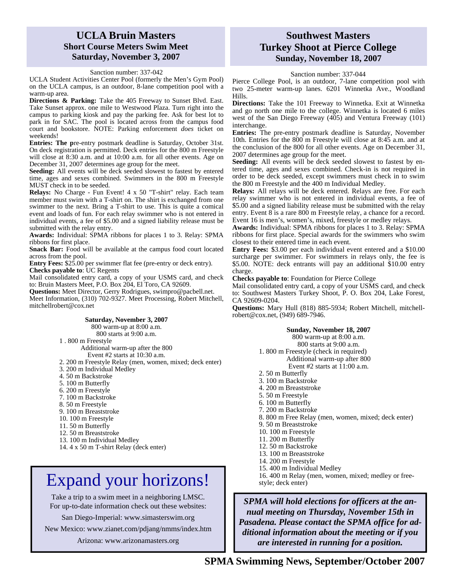### **UCLA Bruin Masters Short Course Meters Swim Meet Saturday, November 3, 2007**

Sanction number: 337-042

UCLA Student Activities Center Pool (formerly the Men's Gym Pool) on the UCLA campus, is an outdoor, 8-lane competition pool with a warm-up area.

**Directions & Parking:** Take the 405 Freeway to Sunset Blvd. East. Take Sunset approx. one mile to Westwood Plaza. Turn right into the campus to parking kiosk and pay the parking fee. Ask for best lot to park in for SAC. The pool is located across from the campus food court and bookstore. NOTE: Parking enforcement *does* ticket on weekends!

**Entries: The p**re-entry postmark deadline is Saturday, October 31st. On deck registration is permitted. Deck entries for the 800 m Freestyle will close at 8:30 a.m. and at 10:00 a.m. for all other events. Age on December 31, 2007 determines age group for the meet.

**Seeding:** All events will be deck seeded slowest to fastest by entered time, ages and sexes combined. Swimmers in the 800 m Freestyle MUST check in to be seeded.

**Relays:** No Charge - Fun Event! 4 x 50 "T-shirt" relay. Each team member must swim with a T-shirt on. The shirt is exchanged from one swimmer to the next. Bring a T-shirt to use. This is quite a comical event and loads of fun. For each relay swimmer who is not entered in individual events, a fee of \$5.00 and a signed liability release must be submitted with the relay entry.

**Awards:** Individual: SPMA ribbons for places 1 to 3. Relay: SPMA ribbons for first place.

**Snack Bar:** Food will be available at the campus food court located across from the pool.

**Entry Fees:** \$25.00 per swimmer flat fee (pre-entry or deck entry). **Checks payable to**: UC Regents

Mail consolidated entry card, a copy of your USMS card, and check to: Bruin Masters Meet, P.O. Box 204, El Toro, CA 92609.

**Questions:** Meet Director, Gerry Rodrigues, swimpro@pacbell.net.

Meet Information, (310) 702-9327. Meet Processing, Robert Mitchell, mitchellrobert@cox.net

#### **Saturday, November 3, 2007**

800 warm-up at 8:00 a.m.

800 starts at 9:00 a.m.

1 . 800 m Freestyle

Additional warm-up after the 800

- Event #2 starts at 10:30 a.m.
- 2. 200 m Freestyle Relay (men, women, mixed; deck enter) 3. 200 m Individual Medley
- 4. 50 m Backstroke
- 5. 100 m Butterfly
- 6. 200 m Freestyle
- 7. 100 m Backstroke
- 8. 50 m Freestyle
- 9. 100 m Breaststroke
- 10. 100 m Freestyle
- 11. 50 m Butterfly
- 12. 50 m Breaststroke
- 13. 100 m Individual Medley
- 

### 14. 4 x 50 m T-shirt Relay (deck enter)

# Expand your horizons!  $\left| \begin{array}{c} 16.400 \text{ m} \text{ Relay (men, women, mixed; medley or free-} \\ \text{style; deck enter)} \end{array} \right|$

Take a trip to a swim meet in a neighboring LMSC. For up-to-date information check out these websites:

San Diego-Imperial: www.simasterswim.org

New Mexico: www.zianet.com/pdjang/nmms/index.htm

Arizona: www.arizonamasters.org

### **Southwest Masters Turkey Shoot at Pierce College Sunday, November 18, 2007**

Sanction number: 337-044

Pierce College Pool, is an outdoor, 7-lane competition pool with two 25-meter warm-up lanes. 6201 Winnetka Ave., Woodland Hills.

**Directions:** Take the 101 Freeway to Winnetka. Exit at Winnetka and go north one mile to the college. Winnetka is located 6 miles west of the San Diego Freeway (405) and Ventura Freeway (101) interchange.

**Entries:** The pre-entry postmark deadline is Saturday, November 10th. Entries for the 800 m Freestyle will close at 8:45 a.m. and at the conclusion of the 800 for all other events. Age on December 31, 2007 determines age group for the meet.

**Seeding:** All events will be deck seeded slowest to fastest by entered time, ages and sexes combined. Check-in is not required in order to be deck seeded, except swimmers must check in to swim the 800 m Freestyle and the 400 m Individual Medley.

**Relays:** All relays will be deck entered. Relays are free. For each relay swimmer who is not entered in individual events, a fee of \$5.00 and a signed liability release must be submitted with the relay entry. Event 8 is a rare 800 m Freestyle relay, a chance for a record. Event 16 is men's, women's, mixed, freestyle or medley relays.

**Awards:** Individual: SPMA ribbons for places 1 to 3. Relay: SPMA ribbons for first place. Special awards for the swimmers who swim closest to their entered time in each event.

**Entry Fees:** \$3.00 per each individual event entered and a \$10.00 surcharge per swimmer. For swimmers in relays only, the fee is \$5.00. NOTE: deck entrants will pay an additional \$10.00 entry charge.

**Checks payable to**: Foundation for Pierce College

Mail consolidated entry card, a copy of your USMS card, and check to: Southwest Masters Turkey Shoot, P. O. Box 204, Lake Forest, CA 92609-0204.

**Questions:** Mary Hull (818) 885-5934; Robert Mitchell, mitchellrobert@cox.net, (949) 689-7946.

#### **Sunday, November 18, 2007**

800 warm-up at 8:00 a.m.

#### 800 starts at 9:00 a.m.

1. 800 m Freestyle (check in required) Additional warm-up after 800

Event #2 starts at  $11:00$  a.m.

- 2. 50 m Butterfly
- 3. 100 m Backstroke
- 4. 200 m Breaststroke
- 5. 50 m Freestyle
- 6. 100 m Butterfly
- 7. 200 m Backstroke
- 8. 800 m Free Relay (men, women, mixed; deck enter)
- 9. 50 m Breaststroke
- 10. 100 m Freestyle
- 11. 200 m Butterfly
- 12. 50 m Backstroke
- 13. 100 m Breaststroke
- 14. 200 m Freestyle
- 15. 400 m Individual Medley
- 

*SPMA will hold elections for officers at the annual meeting on Thursday, November 15th in Pasadena. Please contact the SPMA office for additional information about the meeting or if you are interested in running for a position.*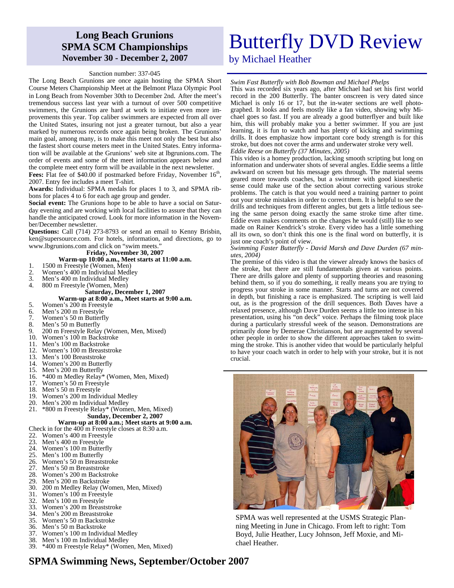## **Long Beach Grunions SPMA SCM Championships November 30 - December 2, 2007**

#### Sanction number: 337-045

The Long Beach Grunions are once again hosting the SPMA Short Course Meters Championship Meet at the Belmont Plaza Olympic Pool in Long Beach from November 30th to December 2nd. After the meet's tremendous success last year with a turnout of over 500 competitive swimmers, the Grunions are hard at work to initiate even more improvements this year. Top caliber swimmers are expected from all over the United States, insuring not just a greater turnout, but also a year marked by numerous records once again being broken. The Grunions' main goal, among many, is to make this meet not only the best but also the fastest short course meters meet in the United States. Entry information will be available at the Grunions' web site at lbgrunions.com. The order of events and some of the meet information appears below and the complete meet entry form will be available in the next newsletter.

**Fees:** Flat fee of \$40.00 if postmarked before Friday, November 16<sup>th</sup>, 2007. Entry fee includes a meet T-shirt.

**Awards:** Individual: SPMA medals for places 1 to 3, and SPMA ribbons for places 4 to 6 for each age group and gender.

**Social event:** The Grunions hope to be able to have a social on Saturday evening and are working with local facilities to assure that they can handle the anticipated crowd. Look for more information in the November/December newsletter.

**Questions:** Call (714) 273-8793 or send an email to Kenny Brisbin, ken@supersource.com. For hotels, information, and directions, go to www.lbgrunions.com and click on "swim meets."

#### **Friday, November 30, 2007**

#### **Warm-up 10:00 a.m., Meet starts at 11:00 a.m.**

- 1. 1500 m Freestyle (Women, Men)<br>2. Women's 400 m Individual Medl
- 2. Women's 400 m Individual Medley<br>3. Men's 400 m Individual Medley
- 3. Men's 400 m Individual Medley<br>4. 800 m Freestyle (Women, Men)
- 4. 800 m Freestyle (Women, Men)

#### **Saturday, December 1, 2007**

#### **Warm-up at 8:00 a.m., Meet starts at 9:00 a.m.**

- 5. Women's 200 m Freestyle
- 6. Men's 200 m Freestyle<br>7. Women's 50 m Butterf
- Women's 50 m Butterfly
- 8. Men's 50 m Butterfly<br>9. 200 m Freestyle Relay
- 9. 200 m Freestyle Relay (Women, Men, Mixed)<br>10. Women's 100 m Backstroke
- Women's 100 m Backstroke
- 11. Men's 100 m Backstroke<br>12. Women's 100 m Breastst
- Women's 100 m Breaststroke
- 13. Men's 100 Breaststroke
- 14. Women's 200 m Butterfly
- 15. Men's 200 m Butterfly
- 16. \*400 m Medley Relay\* (Women, Men, Mixed)
- 17. Women's 50 m Freestyle
- 18. Men's 50 m Freestyle<br>19. Women's 200 m Indix
- 19. Women's 200 m Individual Medley
- 20. Men's 200 m Individual Medley<br>21. \*800 m Freestyle Relay\* (Wome
- 21. \*800 m Freestyle Relay\* (Women, Men, Mixed) **Sunday, December 2, 2007**

### **Warm-up at 8:00 a.m.; Meet starts at 9:00 a.m.**

- Check in for the  $400 \text{ m}$  Freestyle closes at 8:30 a.m.<br>22. Women's  $400 \text{ m}$  Freestyle
- 22. Women's 400 m Freestyle<br>23. Men's 400 m Freestyle
- 23. Men's 400 m Freestyle
- 24. Women's 100 m Butterfly<br>25. Men's 100 m Butterfly
- 25. Men's 100 m Butterfly
- 26. Women's 50 m Breaststroke
- 27. Men's 50 m Breaststroke 28. Women's 200 m Backstroke<br>29 Men's 200 m Backstroke
- 
- 29. Men's 200 m Backstroke 30. 200 m Medley Relay (Women, Men, Mixed)
- 31. Women's 100 m Freestyle<br>32. Men's 100 m Freestyle
- 32. Men's 100 m Freestyle
- 33. Women's 200 m Breaststroke<br>34. Men's 200 m Breaststroke
- Men's 200 m Breaststroke
- 35. Women's 50 m Backstroke
- 36. Men's 50 m Backstroke<br>37. Women's 100 m Individ
- Women's 100 m Individual Medlev
- 38. Men's 100 m Individual Medley
- 39. \*400 m Freestyle Relay\* (Women, Men, Mixed)

# Butterfly DVD Review

by Michael Heather

### *Swim Fast Butterfly with Bob Bowman and Michael Phelps*

This was recorded six years ago, after Michael had set his first world record in the 200 Butterfly. The banter onscreen is very dated since Michael is only 16 or 17, but the in-water sections are well photographed. It looks and feels mostly like a fan video, showing why Michael goes so fast. If you are already a good butterflyer and built like him, this will probably make you a better swimmer. If you are just learning, it is fun to watch and has plenty of kicking and swimming drills. It does emphasize how important core body strength is for this stroke, but does not cover the arms and underwater stroke very well.

### *Eddie Reese on Butterfly (37 Minutes, 2005)*

This video is a homey production, lacking smooth scripting but long on information and underwater shots of several angles. Eddie seems a little awkward on screen but his message gets through. The material seems geared more towards coaches, but a swimmer with good kinesthetic sense could make use of the section about correcting various stroke problems. The catch is that you would need a training partner to point out your stroke mistakes in order to correct them. It is helpful to see the drills and techniques from different angles, but gets a little tedious seeing the same person doing exactly the same stroke time after time. Eddie even makes comments on the changes he would (still) like to see made on Rainer Kendrick's stroke. Every video has a little something all its own, so don't think this one is the final word on butterfly, it is just one coach's point of view.

#### *Swimming Faster Butterfly - David Marsh and Dave Durden (67 minutes, 2004)*

The premise of this video is that the viewer already knows the basics of the stroke, but there are still fundamentals given at various points. There are drills galore and plenty of supporting theories and reasoning behind them, so if you do something, it really means you are trying to progress your stroke in some manner. Starts and turns are not covered in depth, but finishing a race is emphasized. The scripting is well laid out, as is the progression of the drill sequences. Both Daves have a relaxed presence, although Dave Durden seems a little too intense in his presentation, using his "on deck" voice. Perhaps the filming took place during a particularly stressful week of the season. Demonstrations are primarily done by Demerae Christianson, but are augmented by several other people in order to show the different approaches taken to swimming the stroke. This is another video that would be particularly helpful to have your coach watch in order to help with your stroke, but it is not crucial.



SPMA was well represented at the USMS Strategic Planning Meeting in June in Chicago. From left to right: Tom Boyd, Julie Heather, Lucy Johnson, Jeff Moxie, and Michael Heather.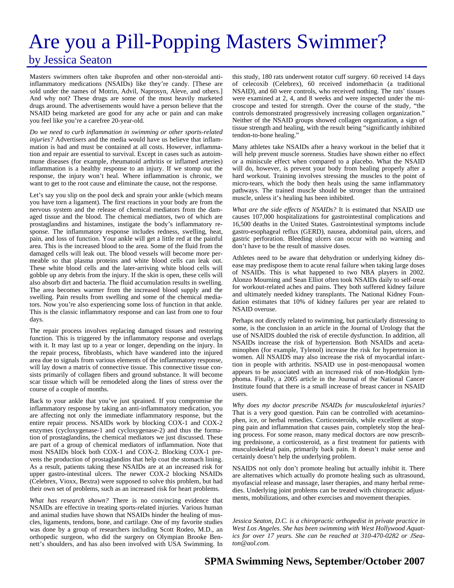# Are you a Pill-Popping Masters Swimmer?

## by Jessica Seaton

Masters swimmers often take ibuprofen and other non-steroidal antiinflammatory medications (NSAIDs) like they're candy. [These are sold under the names of Motrin, Advil, Naprosyn, Aleve, and others.] And why not? These drugs are some of the most heavily marketed drugs around. The advertisements would have a person believe that the NSAID being marketed are good for any ache or pain and can make you feel like you're a carefree 20-year-old.

*Do we need to curb inflammation in swimming or other sports-related injuries?* Advertisers and the media would have us believe that inflammation is bad and must be contained at all costs. However, inflammation and repair are essential to survival. Except in cases such as autoimmune diseases (for example, rheumatoid arthritis or inflamed arteries) inflammation is a healthy response to an injury. If we stomp out the response, the injury won't heal. Where inflammation is chronic, we want to get to the root cause and eliminate the cause, not the response.

Let's say you slip on the pool deck and sprain your ankle (which means you have torn a ligament). The first reactions in your body are from the nervous system and the release of chemical mediators from the damaged tissue and the blood. The chemical mediators, two of which are prostaglandins and histamines, instigate the body's inflammatory response. The inflammatory response includes redness, swelling, heat, pain, and loss of function. Your ankle will get a little red at the painful area. This is the increased blood to the area. Some of the fluid from the damaged cells will leak out. The blood vessels will become more permeable so that plasma proteins and white blood cells can leak out. These white blood cells and the later-arriving white blood cells will gobble up any debris from the injury. If the skin is open, these cells will also absorb dirt and bacteria. The fluid accumulation results in swelling. The area becomes warmer from the increased blood supply and the swelling. Pain results from swelling and some of the chemical mediators. Now you're also experiencing some loss of function in that ankle. This is the classic inflammatory response and can last from one to four days.

The repair process involves replacing damaged tissues and restoring function. This is triggered by the inflammatory response and overlaps with it. It may last up to a year or longer, depending on the injury. In the repair process, fibroblasts, which have wandered into the injured area due to signals from various elements of the inflammatory response, will lay down a matrix of connective tissue. This connective tissue consists primarily of collagen fibers and ground substance. It will become scar tissue which will be remodeled along the lines of stress over the course of a couple of months.

Back to your ankle that you've just sprained. If you compromise the inflammatory response by taking an anti-inflammatory medication, you are affecting not only the immediate inflammatory response, but the entire repair process. NSAIDs work by blocking COX-1 and COX-2 enzymes (cycloxygenase-1 and cycloxygenase-2) and thus the formation of prostaglandins, the chemical mediators we just discussed. These are part of a group of chemical mediators of inflammation. Note that most NSAIDs block both COX-1 and COX-2. Blocking COX-1 prevens the production of prostaglandins that help coat the stomach lining. As a result, patients taking these NSAIDs are at an increased risk for upper gastro-intestinal ulcers. The newer COX-2 blocking NSAIDs (Celebrex, Vioxx, Bextra) were supposed to solve this problem, but had their own set of problems, such as an increased risk for heart problems.

*What has research shown?* There is no convincing evidence that NSAIDs are effective in treating sports-related injuries. Various human and animal studies have shown that NSAIDs hinder the healing of muscles, ligaments, tendons, bone, and cartilage. One of my favorite studies was done by a group of researchers including Scott Rodeo, M.D., an orthopedic surgeon, who did the surgery on Olympian Brooke Bennett's shoulders, and has also been involved with USA Swimming. In this study, 180 rats underwent rotator cuff surgery. 60 received 14 days of celecoxib (Celebrex), 60 received indomethacin (a traditional NSAID), and 60 were controls, who received nothing. The rats' tissues were examined at 2, 4, and 8 weeks and were inspected under the microscope and tested for strength. Over the course of the study, "the controls demonstrated progressively increasing collagen organization." Neither of the NSAID groups showed collagen organization, a sign of tissue strength and healing, with the result being "significantly inhibited tendon-to-bone healing."

Many athletes take NSAIDs after a heavy workout in the belief that it will help prevent muscle soreness. Studies have shown either no effect or a miniscule effect when compared to a placebo. What the NSAID will do, however, is prevent your body from healing properly after a hard workout. Training involves stressing the muscles to the point of micro-tears, which the body then heals using the same inflammatory pathways. The trained muscle should be stronger than the untrained muscle, unless it's healing has been inhibited.

*What are the side effects of NSAIDs?* It is estimated that NSAID use causes 107,000 hospitalizations for gastrointestinal complications and 16,500 deaths in the United States. Gastrointestinal symptoms include gastro-esophageal reflux (GERD), nausea, abdominal pain, ulcers, and gastric perforation. Bleeding ulcers can occur with no warning and don't have to be the result of massive doses.

Athletes need to be aware that dehydration or underlying kidney disease may predispose them to acute renal failure when taking large doses of NSAIDs. This is what happened to two NBA players in 2002. Alonzo Mourning and Sean Elliot often took NSAIDs daily to self-treat for workout-related aches and pains. They both suffered kidney failure and ultimately needed kidney transplants. The National Kidney Foundation estimates that 10% of kidney failures per year are related to NSAID overuse.

Perhaps not directly related to swimming, but particularly distressing to some, is the conclusion in an article in the Journal of Urology that the use of NSAIDS doubled the risk of erectile dysfunction. In addition, all NSAIDs increase the risk of hypertension. Both NSAIDs and acetaminophen (for example, Tylenol) increase the risk for hypertension in women. All NSAIDS may also increase the risk of myocardial infarction in people with arthritis. NSAID use in post-menopausal women appears to be associated with an increased risk of non-Hodgkin lymphoma. Finally, a 2005 article in the Journal of the National Cancer Institute found that there is a small increase of breast cancer in NSAID users.

*Why does my doctor prescribe NSAIDs for musculoskeletal injuries?*  That is a very good question. Pain can be controlled with acetaminophen, ice, or herbal remedies. Corticosteroids, while excellent at stopping pain and inflammation that causes pain, completely stop the healing process. For some reason, many medical doctors are now prescribing prednisone, a corticosteroid, as a first treatment for patients with musculoskeletal pain, primarily back pain. It doesn't make sense and certainly doesn't help the underlying problem.

NSAIDS not only don't promote healing but actually inhibit it. There are alternatives which actually do promote healing such as ultrasound, myofascial release and massage, laser therapies, and many herbal remedies. Underlying joint problems can be treated with chiropractic adjustments, mobilizations, and other exercises and movement therapies.

*Jessica Seaton, D.C. is a chiropractic orthopedist in private practice in West Los Angeles. She has been swimming with West Hollywood Aquatics for over 17 years. She can be reached at 310-470-0282 or JSeaton@aol.com.*